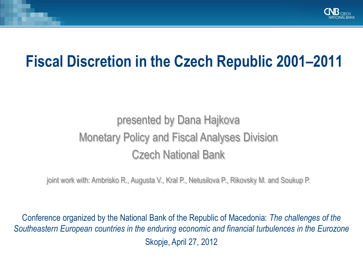

# **Fiscal Discretion in the Czech Republic 2001–2011**

## presented by Dana Hajkova Monetary Policy and Fiscal Analyses Division Czech National Bank

joint work with: Ambrisko R., Augusta V., Kral P., Netusilova P., Rikovsky M. and Soukup P.

Conference organized by the National Bank of the Republic of Macedonia: *The challenges of the Southeastern European countries in the enduring economic and financial turbulences in the Eurozone* Skopje, April 27, 2012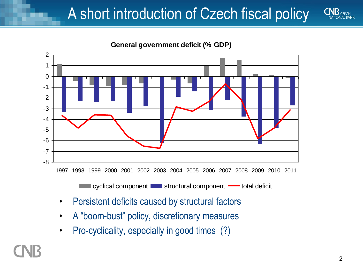# A short introduction of Czech fiscal policy



**General government deficit (% GDP)**

1997 1998 1999 2000 2001 2002 2003 2004 2005 2006 2007 2008 2009 2010 2011

cyclical component structural component was total deficit

- Persistent deficits caused by structural factors
- A "boom-bust" policy, discretionary measures
- Pro-cyclicality, especially in good times (?)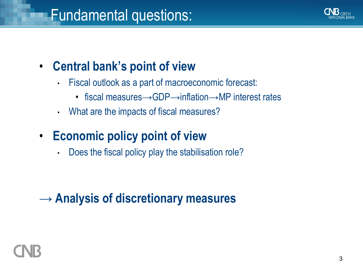![](_page_2_Picture_1.jpeg)

### • **Central bank's point of view**

- Fiscal outlook as a part of macroeconomic forecast:
	- fiscal measures→GDP→inflation→MP interest rates
- What are the impacts of fiscal measures?
- **Economic policy point of view**
	- Does the fiscal policy play the stabilisation role?

### **→ Analysis of discretionary measures**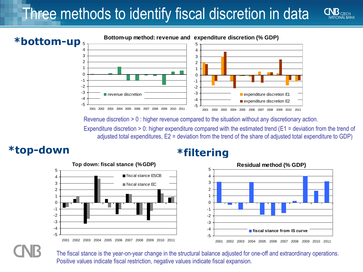# Three methods to identify fiscal discretion in data

![](_page_3_Figure_1.jpeg)

**Top down: fiscal stance (% GDP)**

■ fiscal stance ESCB ■ fiscal stance EC

2001 2002 2003 2004 2005 2006 2007 2008 2009 2010 2011

Revenue discretion > 0 : higher revenue compared to the situation without any discretionary action.

Expenditure discretion > 0: higher expenditure compared with the estimated trend (E1 = deviation from the trend of adjusted total expenditures, E2 = deviation from the trend of the share of adjusted total expenditure to GDP)

### **\*top-down \*filtering**

![](_page_3_Figure_5.jpeg)

![](_page_3_Figure_6.jpeg)

-5 -4 -3 -2 -1 0 1 2 3 4 5

> The fiscal stance is the year-on-year change in the structural balance adjusted for one-off and extraordinary operations. Positive values indicate fiscal restriction, negative values indicate fiscal expansion.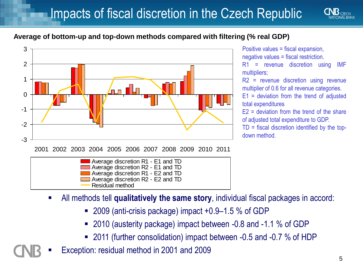![](_page_4_Picture_1.jpeg)

### **Average of bottom-up and top-down methods compared with filtering (% real GDP)**

![](_page_4_Figure_3.jpeg)

Positive values = fiscal expansion, negative values = fiscal restriction.

R1 = revenue discretion using IMF multipliers;

R2 = revenue discretion using revenue multiplier of 0.6 for all revenue categories.

E1 = deviation from the trend of adjusted total expenditures

 $E2$  = deviation from the trend of the share of adjusted total expenditure to GDP.

TD = fiscal discretion identified by the topdown method.

| Average discretion R1 - E2 and TD |  |
|-----------------------------------|--|
| Average discretion R2 - E2 and TD |  |
| Residual method                   |  |
|                                   |  |

- All methods tell **qualitatively the same story**, individual fiscal packages in accord:
	- 2009 (anti-crisis package) impact +0.9–1.5 % of GDP
	- 2010 (austerity package) impact between -0.8 and -1.1 % of GDP
	- 2011 (further consolidation) impact between -0.5 and -0.7 % of HDP
- Exception: residual method in 2001 and 2009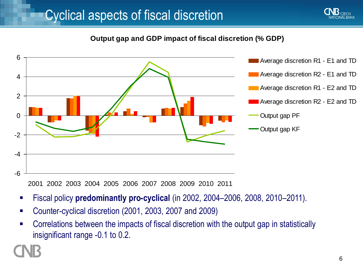![](_page_5_Picture_1.jpeg)

![](_page_5_Figure_3.jpeg)

2001 2002 2003 2004 2005 2006 2007 2008 2009 2010 2011

- Fiscal policy **predominantly pro-cyclical** (in 2002, 2004–2006, 2008, 2010–2011).
- Counter-cyclical discretion (2001, 2003, 2007 and 2009)
- **EXP** Correlations between the impacts of fiscal discretion with the output gap in statistically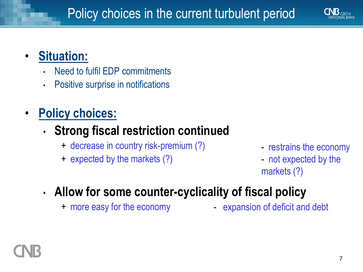![](_page_6_Picture_1.jpeg)

### • **Situation:**

- Need to fulfil EDP commitments
- Positive surprise in notifications
- **Policy choices:**

### • **Strong fiscal restriction continued**

- + decrease in country risk-premium (?)
- + expected by the markets (?)
- restrains the economy
- not expected by the markets (?)

## • **Allow for some counter-cyclicality of fiscal policy**

+ more easy for the economy

- expansion of deficit and debt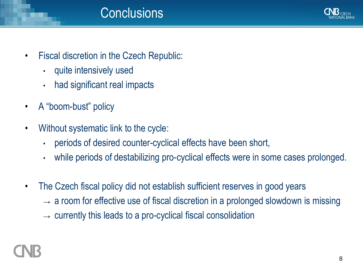![](_page_7_Picture_0.jpeg)

- Fiscal discretion in the Czech Republic:
	- quite intensively used
	- had significant real impacts
- A "boom-bust" policy
- Without systematic link to the cycle:
	- periods of desired counter-cyclical effects have been short,
	- while periods of destabilizing pro-cyclical effects were in some cases prolonged.
- The Czech fiscal policy did not establish sufficient reserves in good years
	- $\rightarrow$  a room for effective use of fiscal discretion in a prolonged slowdown is missing
	- $\rightarrow$  currently this leads to a pro-cyclical fiscal consolidation